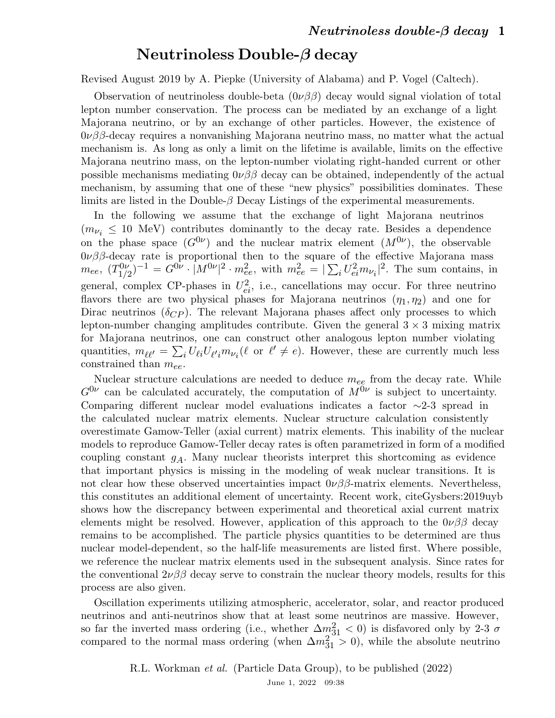## Neutrinoless Double-β decay

Revised August 2019 by A. Piepke (University of Alabama) and P. Vogel (Caltech).

Observation of neutrinoless double-beta  $(0\nu\beta\beta)$  decay would signal violation of total lepton number conservation. The process can be mediated by an exchange of a light Majorana neutrino, or by an exchange of other particles. However, the existence of  $0\nu\beta\beta$ -decay requires a nonvanishing Majorana neutrino mass, no matter what the actual mechanism is. As long as only a limit on the lifetime is available, limits on the effective Majorana neutrino mass, on the lepton-number violating right-handed current or other possible mechanisms mediating  $0\nu\beta\beta$  decay can be obtained, independently of the actual mechanism, by assuming that one of these "new physics" possibilities dominates. These limits are listed in the Double- $\beta$  Decay Listings of the experimental measurements.

In the following we assume that the exchange of light Majorana neutrinos  $(m_{\nu_i} \leq 10 \text{ MeV})$  contributes dominantly to the decay rate. Besides a dependence on the phase space  $(G^{0\nu})$  and the nuclear matrix element  $(M^{0\nu})$ , the observable  $0\nu\beta\beta$ -decay rate is proportional then to the square of the effective Majorana mass  $m_{ee}, (T_{1/2}^{0\nu})$  $\int_{1/2}^{0\nu} e^{-1} \int_{0}^{1} |\mathcal{M}^{0\nu}|^{2} \cdot m_{ee}^{2}$ , with  $m_{ee}^{2} = |\sum_{i} U_{ei}^{2} m_{\nu_{i}}|^{2}$ . The sum contains, in general, complex CP-phases in  $U_{ei}^2$ , i.e., cancellations may occur. For three neutrino flavors there are two physical phases for Majorana neutrinos  $(\eta_1, \eta_2)$  and one for Dirac neutrinos  $(\delta_{CP})$ . The relevant Majorana phases affect only processes to which lepton-number changing amplitudes contribute. Given the general  $3 \times 3$  mixing matrix for Majorana neutrinos, one can construct other analogous lepton number violating quantities,  $m_{\ell\ell'} = \sum_i U_{\ell i} U_{\ell' i} m_{\nu_i} (\ell \text{ or } \ell' \neq e)$ . However, these are currently much less constrained than  $m_{ee}$ .

Nuclear structure calculations are needed to deduce  $m_{ee}$  from the decay rate. While  $G^{0\nu}$  can be calculated accurately, the computation of  $M^{0\nu}$  is subject to uncertainty. Comparing different nuclear model evaluations indicates a factor ∼2-3 spread in the calculated nuclear matrix elements. Nuclear structure calculation consistently overestimate Gamow-Teller (axial current) matrix elements. This inability of the nuclear models to reproduce Gamow-Teller decay rates is often parametrized in form of a modified coupling constant  $g_A$ . Many nuclear theorists interpret this shortcoming as evidence that important physics is missing in the modeling of weak nuclear transitions. It is not clear how these observed uncertainties impact  $0\nu\beta\beta$ -matrix elements. Nevertheless, this constitutes an additional element of uncertainty. Recent work, citeGysbers:2019uyb shows how the discrepancy between experimental and theoretical axial current matrix elements might be resolved. However, application of this approach to the  $0\nu\beta\beta$  decay remains to be accomplished. The particle physics quantities to be determined are thus nuclear model-dependent, so the half-life measurements are listed first. Where possible, we reference the nuclear matrix elements used in the subsequent analysis. Since rates for the conventional  $2\nu\beta\beta$  decay serve to constrain the nuclear theory models, results for this process are also given.

Oscillation experiments utilizing atmospheric, accelerator, solar, and reactor produced neutrinos and anti-neutrinos show that at least some neutrinos are massive. However, so far the inverted mass ordering (i.e., whether  $\Delta m_{31}^2$  < 0) is disfavored only by 2-3  $\sigma$ compared to the normal mass ordering (when  $\Delta m_{31}^2 > 0$ ), while the absolute neutrino

> R.L. Workman et al. (Particle Data Group), to be published (2022) June 1, 2022 09:38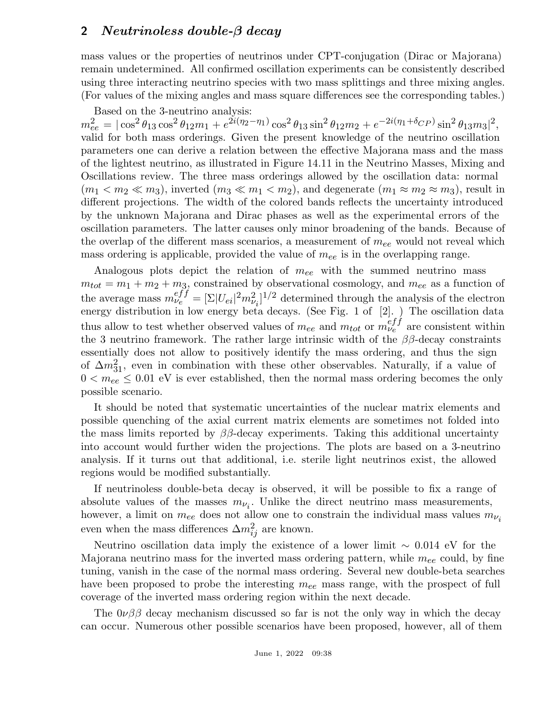## 2 Neutrinoless double-β decay

mass values or the properties of neutrinos under CPT-conjugation (Dirac or Majorana) remain undetermined. All confirmed oscillation experiments can be consistently described using three interacting neutrino species with two mass splittings and three mixing angles. (For values of the mixing angles and mass square differences see the corresponding tables.)

Based on the 3-neutrino analysis:  $m_{ee}^2 = |\cos^2\theta_{13}\cos^2\theta_{12}m_1 + e^{2i(\eta_2-\eta_1)}\cos^2\theta_{13}\sin^2\theta_{12}m_2 + e^{-2i(\eta_1+\delta_{CP})}\sin^2\theta_{13}m_3|^2,$ valid for both mass orderings. Given the present knowledge of the neutrino oscillation parameters one can derive a relation between the effective Majorana mass and the mass of the lightest neutrino, as illustrated in Figure 14.11 in the Neutrino Masses, Mixing and Oscillations review. The three mass orderings allowed by the oscillation data: normal  $(m_1 < m_2 \ll m_3)$ , inverted  $(m_3 \ll m_1 < m_2)$ , and degenerate  $(m_1 \approx m_2 \approx m_3)$ , result in different projections. The width of the colored bands reflects the uncertainty introduced by the unknown Majorana and Dirac phases as well as the experimental errors of the oscillation parameters. The latter causes only minor broadening of the bands. Because of the overlap of the different mass scenarios, a measurement of  $m_{ee}$  would not reveal which mass ordering is applicable, provided the value of  $m_{ee}$  is in the overlapping range.

Analogous plots depict the relation of  $m_{ee}$  with the summed neutrino mass  $m_{tot} = m_1 + m_2 + m_3$ , constrained by observational cosmology, and  $m_{ee}$  as a function of the average mass  $m_{\nu_e}^{eff} = [\Sigma |U_{ei}|^2 m_{\nu_i}^2]^{1/2}$  determined through the analysis of the electron energy distribution in low energy beta decays. (See Fig. 1 of [2]. ) The oscillation data thus allow to test whether observed values of  $m_{ee}$  and  $m_{tot}$  or  $m_{\nu_e}^{eff}$  are consistent within the 3 neutrino framework. The rather large intrinsic width of the  $\beta\beta$ -decay constraints essentially does not allow to positively identify the mass ordering, and thus the sign of  $\Delta m_{31}^2$ , even in combination with these other observables. Naturally, if a value of  $0 < m_{ee} \leq 0.01$  eV is ever established, then the normal mass ordering becomes the only possible scenario.

It should be noted that systematic uncertainties of the nuclear matrix elements and possible quenching of the axial current matrix elements are sometimes not folded into the mass limits reported by  $\beta\beta$ -decay experiments. Taking this additional uncertainty into account would further widen the projections. The plots are based on a 3-neutrino analysis. If it turns out that additional, i.e. sterile light neutrinos exist, the allowed regions would be modified substantially.

If neutrinoless double-beta decay is observed, it will be possible to fix a range of absolute values of the masses  $m_{\nu_i}$ . Unlike the direct neutrino mass measurements, however, a limit on  $m_{ee}$  does not allow one to constrain the individual mass values  $m_{\nu_i}$ even when the mass differences  $\Delta m_{ij}^2$  are known.

Neutrino oscillation data imply the existence of a lower limit ∼ 0.014 eV for the Majorana neutrino mass for the inverted mass ordering pattern, while  $m_{ee}$  could, by fine tuning, vanish in the case of the normal mass ordering. Several new double-beta searches have been proposed to probe the interesting  $m_{ee}$  mass range, with the prospect of full coverage of the inverted mass ordering region within the next decade.

The  $0\nu\beta\beta$  decay mechanism discussed so far is not the only way in which the decay can occur. Numerous other possible scenarios have been proposed, however, all of them